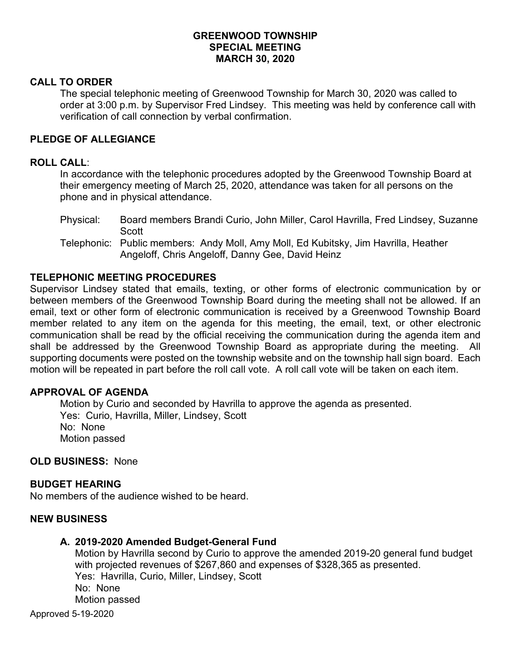# **GREENWOOD TOWNSHIP SPECIAL MEETING MARCH 30, 2020**

## **CALL TO ORDER**

The special telephonic meeting of Greenwood Township for March 30, 2020 was called to order at 3:00 p.m. by Supervisor Fred Lindsey. This meeting was held by conference call with verification of call connection by verbal confirmation.

## **PLEDGE OF ALLEGIANCE**

### **ROLL CALL**:

In accordance with the telephonic procedures adopted by the Greenwood Township Board at their emergency meeting of March 25, 2020, attendance was taken for all persons on the phone and in physical attendance.

- Physical: Board members Brandi Curio, John Miller, Carol Havrilla, Fred Lindsey, Suzanne Scott
- Telephonic: Public members: Andy Moll, Amy Moll, Ed Kubitsky, Jim Havrilla, Heather Angeloff, Chris Angeloff, Danny Gee, David Heinz

## **TELEPHONIC MEETING PROCEDURES**

Supervisor Lindsey stated that emails, texting, or other forms of electronic communication by or between members of the Greenwood Township Board during the meeting shall not be allowed. If an email, text or other form of electronic communication is received by a Greenwood Township Board member related to any item on the agenda for this meeting, the email, text, or other electronic communication shall be read by the official receiving the communication during the agenda item and shall be addressed by the Greenwood Township Board as appropriate during the meeting. All supporting documents were posted on the township website and on the township hall sign board. Each motion will be repeated in part before the roll call vote. A roll call vote will be taken on each item.

### **APPROVAL OF AGENDA**

Motion by Curio and seconded by Havrilla to approve the agenda as presented. Yes: Curio, Havrilla, Miller, Lindsey, Scott No: None Motion passed

## **OLD BUSINESS:** None

## **BUDGET HEARING**

No members of the audience wished to be heard.

### **NEW BUSINESS**

### **A. 2019-2020 Amended Budget-General Fund**

Motion by Havrilla second by Curio to approve the amended 2019-20 general fund budget with projected revenues of \$267,860 and expenses of \$328,365 as presented. Yes: Havrilla, Curio, Miller, Lindsey, Scott No: None Motion passed

Approved 5-19-2020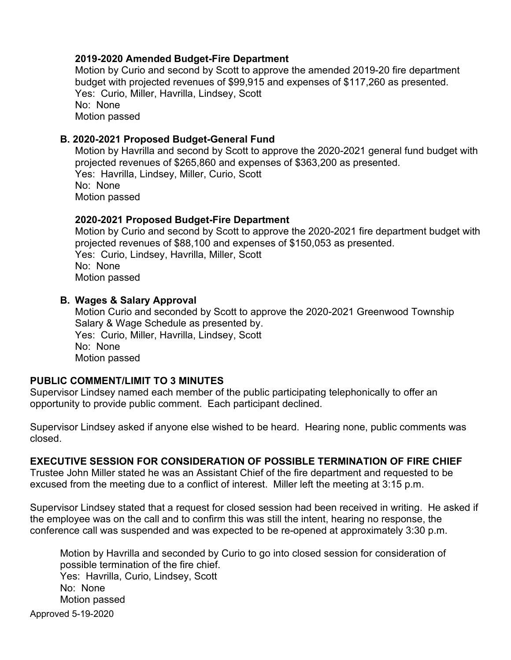# **2019-2020 Amended Budget-Fire Department**

Motion by Curio and second by Scott to approve the amended 2019-20 fire department budget with projected revenues of \$99,915 and expenses of \$117,260 as presented. Yes: Curio, Miller, Havrilla, Lindsey, Scott No: None Motion passed

# **B. 2020-2021 Proposed Budget-General Fund**

Motion by Havrilla and second by Scott to approve the 2020-2021 general fund budget with projected revenues of \$265,860 and expenses of \$363,200 as presented. Yes: Havrilla, Lindsey, Miller, Curio, Scott No: None Motion passed

# **2020-2021 Proposed Budget-Fire Department**

Motion by Curio and second by Scott to approve the 2020-2021 fire department budget with projected revenues of \$88,100 and expenses of \$150,053 as presented. Yes: Curio, Lindsey, Havrilla, Miller, Scott No: None Motion passed

# **B. Wages & Salary Approval**

Motion Curio and seconded by Scott to approve the 2020-2021 Greenwood Township Salary & Wage Schedule as presented by. Yes: Curio, Miller, Havrilla, Lindsey, Scott No: None Motion passed

# **PUBLIC COMMENT/LIMIT TO 3 MINUTES**

Supervisor Lindsey named each member of the public participating telephonically to offer an opportunity to provide public comment. Each participant declined.

Supervisor Lindsey asked if anyone else wished to be heard. Hearing none, public comments was closed.

# **EXECUTIVE SESSION FOR CONSIDERATION OF POSSIBLE TERMINATION OF FIRE CHIEF**

Trustee John Miller stated he was an Assistant Chief of the fire department and requested to be excused from the meeting due to a conflict of interest. Miller left the meeting at 3:15 p.m.

Supervisor Lindsey stated that a request for closed session had been received in writing. He asked if the employee was on the call and to confirm this was still the intent, hearing no response, the conference call was suspended and was expected to be re-opened at approximately 3:30 p.m.

Approved 5-19-2020 Motion by Havrilla and seconded by Curio to go into closed session for consideration of possible termination of the fire chief. Yes: Havrilla, Curio, Lindsey, Scott No: None Motion passed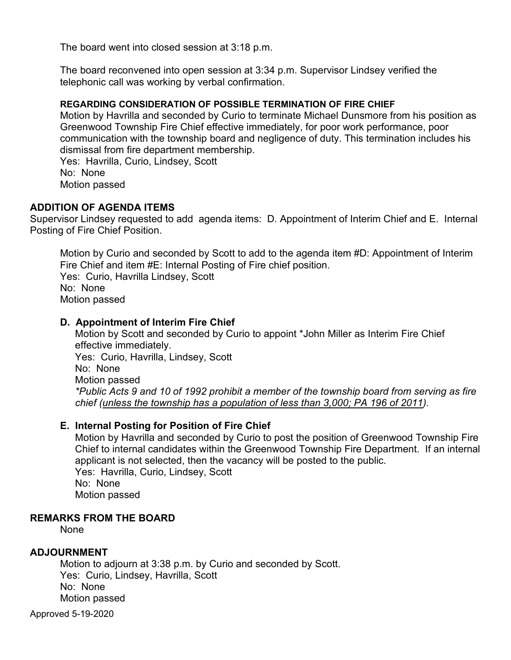The board went into closed session at 3:18 p.m.

The board reconvened into open session at 3:34 p.m. Supervisor Lindsey verified the telephonic call was working by verbal confirmation.

## **REGARDING CONSIDERATION OF POSSIBLE TERMINATION OF FIRE CHIEF**

Motion by Havrilla and seconded by Curio to terminate Michael Dunsmore from his position as Greenwood Township Fire Chief effective immediately, for poor work performance, poor communication with the township board and negligence of duty. This termination includes his dismissal from fire department membership.

Yes: Havrilla, Curio, Lindsey, Scott No: None Motion passed

# **ADDITION OF AGENDA ITEMS**

Supervisor Lindsey requested to add agenda items: D. Appointment of Interim Chief and E. Internal Posting of Fire Chief Position.

Motion by Curio and seconded by Scott to add to the agenda item #D: Appointment of Interim Fire Chief and item #E: Internal Posting of Fire chief position. Yes: Curio, Havrilla Lindsey, Scott No: None Motion passed

# **D. Appointment of Interim Fire Chief**

Motion by Scott and seconded by Curio to appoint \*John Miller as Interim Fire Chief effective immediately. Yes: Curio, Havrilla, Lindsey, Scott No: None Motion passed *\*Public Acts 9 and 10 of 1992 prohibit a member of the township board from serving as fire chief (unless the township has a population of less than 3,000; PA 196 of 2011).* 

# **E. Internal Posting for Position of Fire Chief**

Motion by Havrilla and seconded by Curio to post the position of Greenwood Township Fire Chief to internal candidates within the Greenwood Township Fire Department. If an internal applicant is not selected, then the vacancy will be posted to the public. Yes: Havrilla, Curio, Lindsey, Scott No: None

Motion passed

### **REMARKS FROM THE BOARD**

None

# **ADJOURNMENT**

Motion to adjourn at 3:38 p.m. by Curio and seconded by Scott. Yes: Curio, Lindsey, Havrilla, Scott No: None Motion passed

Approved 5-19-2020